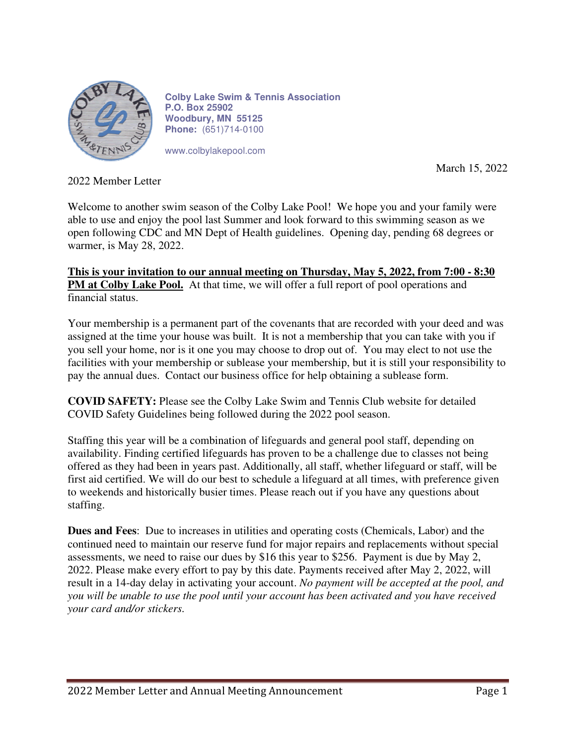

**Colby Lake Swim & Tennis Association P.O. Box 25902 Woodbury, MN 55125 Phone:** (651)714-0100

www.colbylakepool.com

March 15, 2022

2022 Member Letter

Welcome to another swim season of the Colby Lake Pool! We hope you and your family were able to use and enjoy the pool last Summer and look forward to this swimming season as we open following CDC and MN Dept of Health guidelines. Opening day, pending 68 degrees or warmer, is May 28, 2022.

**This is your invitation to our annual meeting on Thursday, May 5, 2022, from 7:00 - 8:30 PM at Colby Lake Pool.** At that time, we will offer a full report of pool operations and financial status.

Your membership is a permanent part of the covenants that are recorded with your deed and was assigned at the time your house was built. It is not a membership that you can take with you if you sell your home, nor is it one you may choose to drop out of. You may elect to not use the facilities with your membership or sublease your membership, but it is still your responsibility to pay the annual dues. Contact our business office for help obtaining a sublease form.

**COVID SAFETY:** Please see the Colby Lake Swim and Tennis Club website for detailed COVID Safety Guidelines being followed during the 2022 pool season.

Staffing this year will be a combination of lifeguards and general pool staff, depending on availability. Finding certified lifeguards has proven to be a challenge due to classes not being offered as they had been in years past. Additionally, all staff, whether lifeguard or staff, will be first aid certified. We will do our best to schedule a lifeguard at all times, with preference given to weekends and historically busier times. Please reach out if you have any questions about staffing.

**Dues and Fees**: Due to increases in utilities and operating costs (Chemicals, Labor) and the continued need to maintain our reserve fund for major repairs and replacements without special assessments, we need to raise our dues by \$16 this year to \$256. Payment is due by May 2, 2022. Please make every effort to pay by this date. Payments received after May 2, 2022, will result in a 14-day delay in activating your account. *No payment will be accepted at the pool, and you will be unable to use the pool until your account has been activated and you have received your card and/or stickers.*